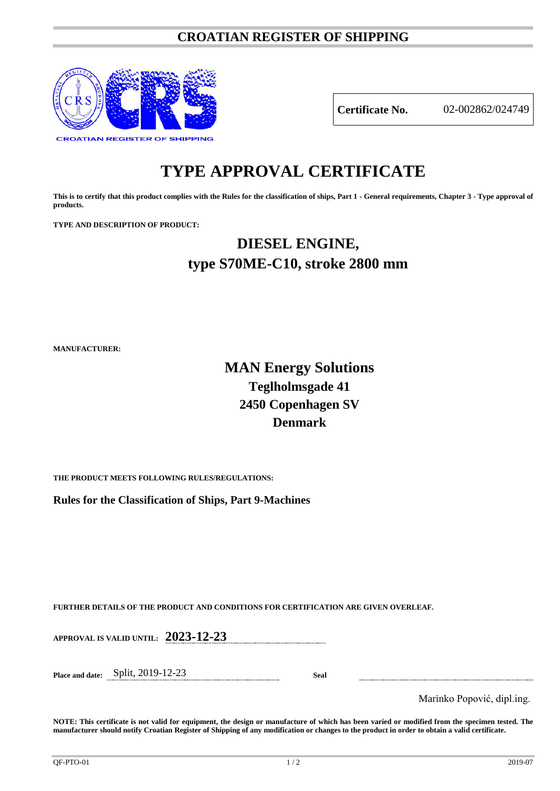### **CROATIAN REGISTER OF SHIPPING**



**Certificate No.** 02-002862/024749

# **TYPE APPROVAL CERTIFICATE**

**This is to certify that this product complies with the Rules for the classification of ships, Part 1 - General requirements, Chapter 3 - Type approval of products.**

**TYPE AND DESCRIPTION OF PRODUCT:** 

## **DIESEL ENGINE, type S70ME-C10, stroke 2800 mm**

**MANUFACTURER:**

### **MAN Energy Solutions Teglholmsgade 41 2450 Copenhagen SV Denmark**

**THE PRODUCT MEETS FOLLOWING RULES/REGULATIONS:**

**Rules for the Classification of Ships, Part 9-Machines**

**FURTHER DETAILS OF THE PRODUCT AND CONDITIONS FOR CERTIFICATION ARE GIVEN OVERLEAF.**

**APPROVAL IS VALID UNTIL: 2023-12-23**

**Place and date:** Split, 2019-12-23 **Seal**

Marinko Popović, dipl.ing.

**NOTE: This certificate is not valid for equipment, the design or manufacture of which has been varied or modified from the specimen tested. The manufacturer should notify Croatian Register of Shipping of any modification or changes to the product in order to obtain a valid certificate.**